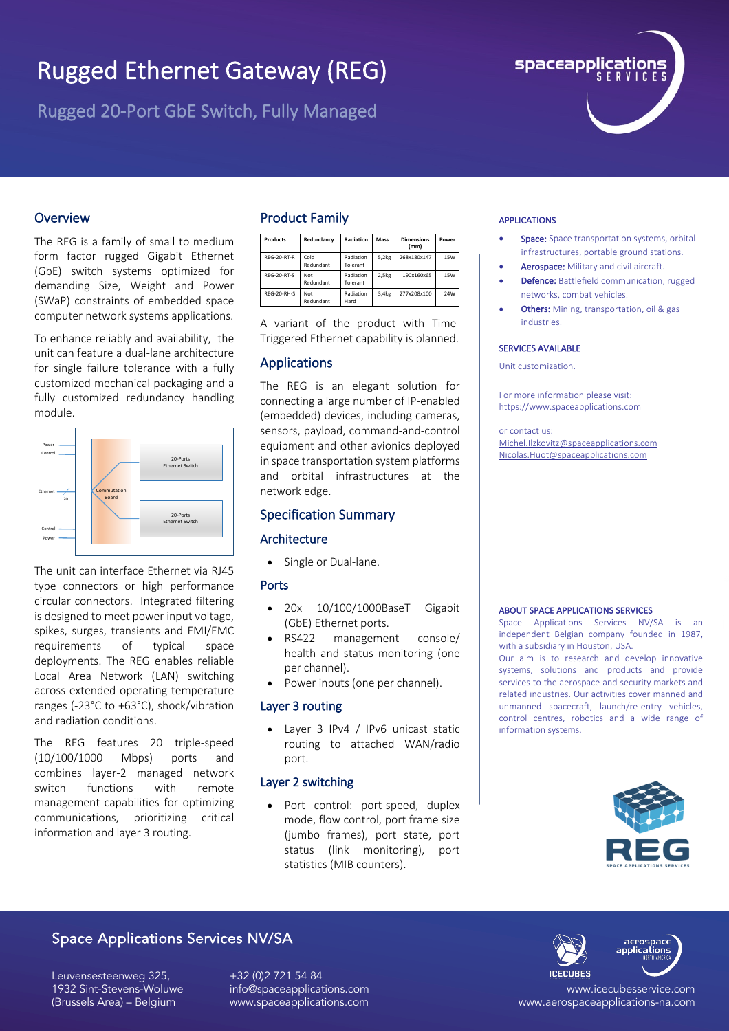# Rugged Ethernet Gateway (REG)

Rugged 20-Port GbE Switch, Fully Managed



## **Overview**

The REG is a family of small to medium form factor rugged Gigabit Ethernet (GbE) switch systems optimized for demanding Size, Weight and Power (SWaP) constraints of embedded space computer network systems applications.

To enhance reliably and availability, the unit can feature a dual-lane architecture for single failure tolerance with a fully customized mechanical packaging and a fully customized redundancy handling module.



The unit can interface Ethernet via RJ45 type connectors or high performance circular connectors. Integrated filtering is designed to meet power input voltage, spikes, surges, transients and EMI/EMC requirements of typical space deployments. The REG enables reliable Local Area Network (LAN) switching across extended operating temperature ranges (-23°C to +63°C), shock/vibration and radiation conditions.

The REG features 20 triple-speed (10/100/1000 Mbps) ports and combines layer-2 managed network switch functions with remote management capabilities for optimizing communications, prioritizing critical information and layer 3 routing.

## Product Family

| <b>Products</b>    | Redundancy        | Radiation             | Mass  | <b>Dimensions</b><br>(mm) | Power      |
|--------------------|-------------------|-----------------------|-------|---------------------------|------------|
| <b>RFG-20-RT-R</b> | Cold<br>Redundant | Radiation<br>Tolerant | 5,2kg | 268x180x147               | <b>15W</b> |
| <b>RFG-20-RT-S</b> | Not<br>Redundant  | Radiation<br>Tolerant | 2,5kg | 190x160x65                | <b>15W</b> |
| <b>RFG-20-RH-S</b> | Not<br>Redundant  | Radiation<br>Hard     | 3,4kg | 277x208x100               | 24W        |

A variant of the product with Time-Triggered Ethernet capability is planned.

## Applications

The REG is an elegant solution for connecting a large number of IP-enabled (embedded) devices, including cameras, sensors, payload, command-and-control equipment and other avionics deployed in space transportation system platforms and orbital infrastructures at the network edge.

## Specification Summary

### Architecture

• Single or Dual-lane.

## Ports

- 20x 10/100/1000BaseT Gigabit (GbE) Ethernet ports.
- RS422 management console/ health and status monitoring (one per channel).
- Power inputs (one per channel).

## Layer 3 routing

• Layer 3 IPv4 / IPv6 unicast static routing to attached WAN/radio port.

## Layer 2 switching

• Port control: port-speed, duplex mode, flow control, port frame size (jumbo frames), port state, port status (link monitoring), port statistics (MIB counters).

### APPLICATIONS

- Space: Space transportation systems, orbital infrastructures, portable ground stations.
- Aerospace: Military and civil aircraft.
- Defence: Battlefield communication, rugged networks, combat vehicles.
- Others: Mining, transportation, oil & gas industries.

#### SERVICES AVAILABLE

Unit customization.

For more information please visit: https://www.spaceapplications.com

or contact us: Michel.Ilzkovitz@spaceapplications.com Nicolas.Huot@spaceapplications.com

#### ABOUT SPACE APPLICATIONS SERVICES

Space Applications Services NV/SA is an independent Belgian company founded in 1987, with a subsidiary in Houston, USA.

Our aim is to research and develop innovative systems, solutions and products and provide services to the aerospace and security markets and related industries. Our activities cover manned and unmanned spacecraft, launch/re-entry vehicles, control centres, robotics and a wide range of information systems.



# Space Applications Services NV/SA

Leuvensesteenweg 325, 1932 Sint-Stevens-Woluwe (Brussels Area) – Belgium

+32 (0)2 721 54 84 info@spaceapplications.com www.spaceapplications.com



www.icecubesservice.com www.aerospaceapplications-na.com